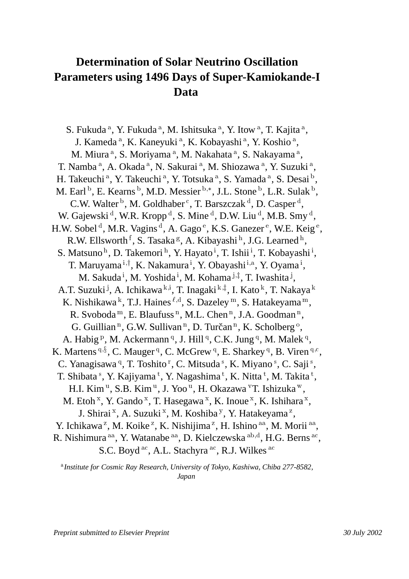## **Determination of Solar Neutrino Oscillation Parameters using 1496 Days of Super-Kamiokande-I Data**

S. Fukuda <sup>a</sup>, Y. Fukuda <sup>a</sup>, M. Ishitsuka <sup>a</sup>, Y. Itow <sup>a</sup>, T. Kajita <sup>a</sup>, J. Kameda<sup>a</sup>, K. Kaneyuki<sup>a</sup>, K. Kobayashi<sup>a</sup>, Y. Koshio<sup>a</sup>, M. Miura <sup>a</sup>, S. Moriyama <sup>a</sup>, M. Nakahata <sup>a</sup>, S. Nakayama <sup>a</sup>, T. Namba <sup>a</sup>, A. Okada <sup>a</sup>, N. Sakurai <sup>a</sup>, M. Shiozawa <sup>a</sup>, Y. Suzuki <sup>a</sup>, H. Takeuchi <sup>a</sup>, Y. Takeuchi <sup>a</sup>, Y. Totsuka <sup>a</sup>, S. Yamada <sup>a</sup>, S. Desai <sup>b</sup>, M. Earl <sup>b</sup>, E. Kearns <sup>b</sup>, M.D. Messier <sup>b,\*</sup>, J.L. Stone <sup>b</sup>, L.R. Sulak <sup>b</sup>, C.W. Walter  $\mathfrak b$ , M. Goldhaber  $\mathfrak c$ , T. Barszczak  $\mathfrak d$ , D. Casper  $\mathfrak d$ , W. Gajewski  $^d$ , W.R. Kropp  $^d$ , S. Mine  $^d$ , D.W. Liu  $^d$ , M.B. Smy  $^d$ , H.W. Sobel<sup>d</sup>, M.R. Vagins<sup>d</sup>, A. Gago<sup>e</sup>, K.S. Ganezer<sup>e</sup>, W.E. Keig<sup>e</sup>, R.W. Ellsworth <sup>†</sup>, S. Tasaka <sup>g</sup>, A. Kibayashi <sup>h</sup>, J.G. Learned <sup>h</sup>, S. Matsuno<sup>h</sup>, D. Takemori<sup>h</sup>, Y. Hayato<sup>i</sup>, T. Ishii<sup>i</sup>, T. Kobayashi<sup>i</sup>, T. Maruyama <sup>i,†</sup>, K. Nakamura <sup>i</sup>, Y. Obayashi <sup>i,a</sup>, Y. Oyama <sup>i</sup>, M. Sakuda <sup>i</sup>, M. Yoshida <sup>i</sup>, M. Kohama <sup>j,‡</sup>, T. Iwashita <sup>j</sup>, A.T. Suzuki <sup>j</sup>, A. Ichikawa <sup>k,i</sup>, T. Inagaki <sup>k,‡</sup>, I. Kato <sup>k</sup>, T. Nakaya <sup>k</sup> K. Nishikawa k, T.J. Haines  $^{\ell,d}$ , S. Dazeley m, S. Hatakeyama m, R. Svoboda<sup>m</sup>, E. Blaufuss<sup>n</sup>, M.L. Chen<sup>n</sup>, J.A. Goodman<sup>n</sup>, G. Guillian<sup>n</sup>, G.W. Sullivan<sup>n</sup>, D. Turčan<sup>n</sup>, K. Scholberg<sup>o</sup>, A. Habig <sup>p</sup>, M. Ackermann <sup>q</sup>, J. Hill <sup>q</sup>, C.K. Jung <sup>q</sup>, M. Malek <sup>q</sup>, K. Martens  $9, 8$ , C. Mauger  $9$ , C. McGrew  $9$ , E. Sharkey  $9$ , B. Viren  $9, c$ , C. Yanagisawa <sup>q</sup>, T. Toshito <sup>r</sup>, C. Mitsuda <sup>s</sup>, K. Miyano <sup>s</sup>, C. Saji <sup>s</sup>, T. Shibata <sup>s</sup>, Y. Kajiyama <sup>t</sup>, Y. Nagashima <sup>t</sup>, K. Nitta <sup>t</sup>, M. Takita <sup>t</sup>, H.I. Kim <sup>u</sup>, S.B. Kim <sup>u</sup>, J. Yoo <sup>u</sup>, H. Okazawa <sup>v</sup>T. Ishizuka <sup>w</sup>, M. Etoh <sup>x</sup>, Y. Gando <sup>x</sup>, T. Hasegawa <sup>x</sup>, K. Inoue <sup>x</sup>, K. Ishihara <sup>x</sup>, J. Shirai <sup>x</sup>, A. Suzuki <sup>x</sup>, M. Koshiba <sup>y</sup>, Y. Hatakeyama <sup>z</sup>, Y. Ichikawa<sup>z</sup>, M. Koike<sup>z</sup>, K. Nishijima<sup>z</sup>, H. Ishino<sup>aa</sup>, M. Morii<sup>aa</sup>, R. Nishimura <sup>aa</sup>, Y. Watanabe <sup>aa</sup>, D. Kielczewska <sup>ab,d</sup>, H.G. Berns <sup>ac</sup>, S.C. Boyd  $\rm ^{ac}$ , A.L. Stachyra  $\rm ^{ac}$ , R.J. Wilkes  $\rm ^{ac}$ 

 *Institute for Cosmic Ray Research, University of Tokyo, Kashiwa, Chiba 277-8582, Japan*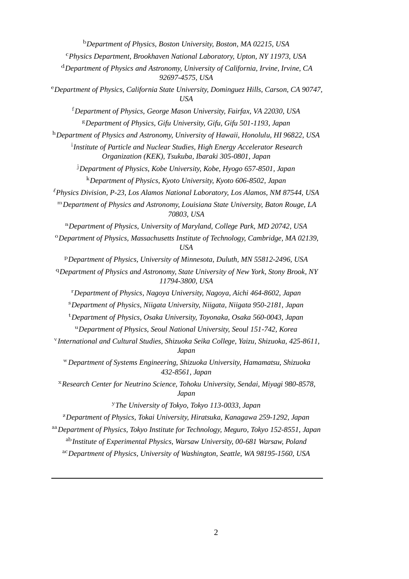*Department of Physics, Boston University, Boston, MA 02215, USA* - *Physics Department, Brookhaven National Laboratory, Upton, NY 11973, USA Department of Physics and Astronomy, University of California, Irvine, Irvine, CA 92697-4575, USA Department of Physics, California State University, Dominguez Hills, Carson, CA 90747, USA Department of Physics, George Mason University, Fairfax, VA 22030, USA Department of Physics, Gifu University, Gifu, Gifu 501-1193, Japan Department of Physics and Astronomy, University of Hawaii, Honolulu, HI 96822, USA Institute of Particle and Nuclear Studies, High Energy Accelerator Research Organization (KEK), Tsukuba, Ibaraki 305-0801, Japan Department of Physics, Kobe University, Kobe, Hyogo 657-8501, Japan Department of Physics, Kyoto University, Kyoto 606-8502, Japan Physics Division, P-23, Los Alamos National Laboratory, Los Alamos, NM 87544, USA Department of Physics and Astronomy, Louisiana State University, Baton Rouge, LA 70803, USA Department of Physics, University of Maryland, College Park, MD 20742, USA Department of Physics, Massachusetts Institute of Technology, Cambridge, MA 02139, USA Department of Physics, University of Minnesota, Duluth, MN 55812-2496, USA Department of Physics and Astronomy, State University of New York, Stony Brook, NY 11794-3800, USA Department of Physics, Nagoya University, Nagoya, Aichi 464-8602, Japan Department of Physics, Niigata University, Niigata, Niigata 950-2181, Japan Department of Physics, Osaka University, Toyonaka, Osaka 560-0043, Japan Department of Physics, Seoul National University, Seoul 151-742, Korea International and Cultural Studies, Shizuoka Seika College, Yaizu, Shizuoka, 425-8611, Japan Department of Systems Engineering, Shizuoka University, Hamamatsu, Shizuoka 432-8561, Japan Research Center for Neutrino Science, Tohoku University, Sendai, Miyagi 980-8578, Japan The University of Tokyo, Tokyo 113-0033, Japan Department of Physics, Tokai University, Hiratsuka, Kanagawa 259-1292, Japan Department of Physics, Tokyo Institute for Technology, Meguro, Tokyo 152-8551, Japan Institute of Experimental Physics, Warsaw University, 00-681 Warsaw, Poland* -*Department of Physics, University of Washington, Seattle, WA 98195-1560, USA*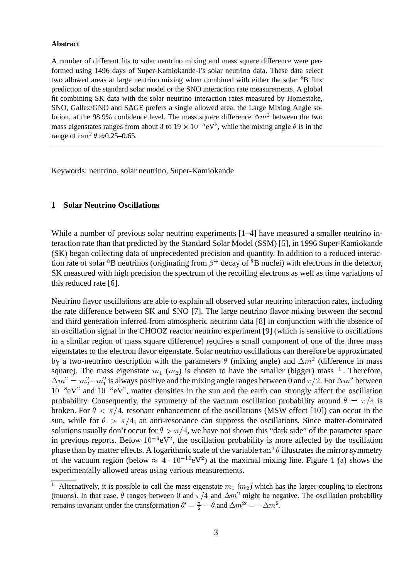#### **Abstract**

A number of different fits to solar neutrino mixing and mass square difference were performed using 1496 days of Super-Kamiokande-I's solar neutrino data. These data select two allowed areas at large neutrino mixing when combined with either the solar <sup>8</sup>B flux prediction of the standard solar model or the SNO interaction rate measurements. A global fit combining SK data with the solar neutrino interaction rates measured by Homestake, SNO, Gallex/GNO and SAGE prefers a single allowed area, the Large Mixing Angle solution, at the 98.9% confidence level. The mass square difference  $\Delta m^2$  between the two mass eigenstates ranges from about 3 to  $19 \times 10^{-5}$ eV<sup>2</sup>, while the mixing angle  $\theta$  is in the range of  $\tan^2 \theta \approx 0.25-0.65$ .

Keywords: neutrino, solar neutrino, Super-Kamiokande

## **1 Solar Neutrino Oscillations**

While a number of previous solar neutrino experiments  $[1-4]$  have measured a smaller neutrino interaction rate than that predicted by the Standard Solar Model (SSM) [5], in 1996 Super-Kamiokande (SK) began collecting data of unprecedented precision and quantity. In addition to a reduced interaction rate of solar  ${}^{8}B$  neutrinos (originating from  $\beta^{+}$  decay of  ${}^{8}B$  nuclei) with electrons in the detector, SK measured with high precision the spectrum of the recoiling electrons as well as time variations of this reduced rate [6].

Neutrino flavor oscillations are able to explain all observed solar neutrino interaction rates, including the rate difference between SK and SNO [7]. The large neutrino flavor mixing between the second and third generation inferred from atmospheric neutrino data [8] in conjunction with the absence of an oscillation signal in the CHOOZ reactor neutrino experiment [9] (which is sensitive to oscillations in a similar region of mass square difference) requires a small component of one of the three mass eigenstates to the electron flavor eigenstate. Solar neutrino oscillations can therefore be approximated by a two-neutrino description with the parameters  $\theta$  (mixing angle) and  $\Delta m^2$  (difference in mass square). The mass eigenstate  $m_1$  ( $m_2$ ) is chosen to have the smaller (bigger) mass <sup>1</sup>. Therefore,  $\Delta m^2 = m_2^2 - m_1^2$  is always positive and the mixing angle ranges between 0 and  $\pi/2$ . For  $\Delta m^2$  between  $10^{-8}$ eV<sup>2</sup> and  $10^{-3}$ eV<sup>2</sup>, matter densities in the sun and the earth can strongly affect the oscillation probability. Consequently, the symmetry of the vacuum oscillation probability around  $\theta = \pi/4$  is broken. For  $\theta < \pi/4$ , resonant enhancement of the oscillations (MSW effect [10]) can occur in the sun, while for  $\theta > \pi/4$ , an anti-resonance can suppress the oscillations. Since matter-dominated solutions usually don't occur for  $\theta > \pi/4$ , we have not shown this "dark side" of the parameter space in previous reports. Below  $10^{-9}$ eV<sup>2</sup>, the oscillation probability is more affected by the oscillation phase than by matter effects. A logarithmic scale of the variable  $\tan^2 \theta$  illustrates the mirror symmetry of the vacuum region (below  $\approx 4 \cdot 10^{-10}$ eV<sup>2</sup>) at the maximal mixing line. Figure 1 (a) shows the experimentally allowed areas using various measurements.

<sup>&</sup>lt;sup>1</sup> Alternatively, it is possible to call the mass eigenstate  $m_1$  ( $m_2$ ) which has the larger coupling to electrons (muons). In that case,  $\theta$  ranges between 0 and  $\pi/4$  and  $\Delta m^2$  might be negative. The oscillation probability remains invariant under the transformation  $\theta' = \frac{\pi}{2} - \theta$  and  $\Delta m^{2} = -\Delta m^2$ .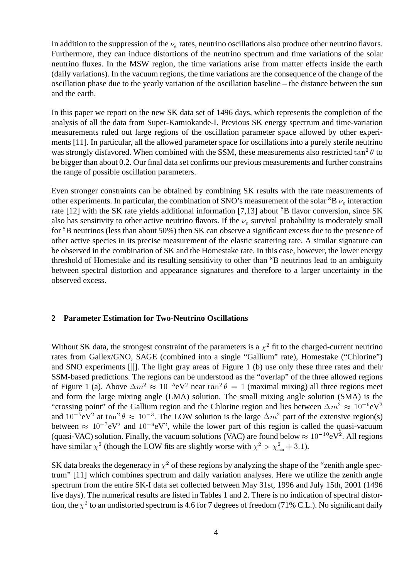In addition to the suppression of the  $\nu_e$  rates, neutrino oscillations also produce other neutrino flavors. Furthermore, they can induce distortions of the neutrino spectrum and time variations of the solar neutrino fluxes. In the MSW region, the time variations arise from matter effects inside the earth (daily variations). In the vacuum regions, the time variations are the consequence of the change of the oscillation phase due to the yearly variation of the oscillation baseline – the distance between the sun and the earth.

In this paper we report on the new SK data set of 1496 days, which represents the completion of the analysis of all the data from Super-Kamiokande-I. Previous SK energy spectrum and time-variation measurements ruled out large regions of the oscillation parameter space allowed by other experiments [11]. In particular, all the allowed parameter space for oscillations into a purely sterile neutrino was strongly disfavored. When combined with the SSM, these measurements also restricted  $\tan^2 \theta$  to be bigger than about 0.2. Our final data set confirms our previous measurements and further constrains the range of possible oscillation parameters.

Even stronger constraints can be obtained by combining SK results with the rate measurements of other experiments. In particular, the combination of SNO's measurement of the solar  ${}^{8}B \nu_{e}$  interaction rate [12] with the SK rate yields additional information [7,13] about <sup>8</sup>B flavor conversion, since SK also has sensitivity to other active neutrino flavors. If the  $\nu_e$  survival probability is moderately small for <sup>8</sup>B neutrinos (less than about 50%) then SK can observe a significant excess due to the presence of other active species in its precise measurement of the elastic scattering rate. A similar signature can be observed in the combination of SK and the Homestake rate. In this case, however, the lower energy threshold of Homestake and its resulting sensitivity to other than  ${}^{8}B$  neutrinos lead to an ambiguity between spectral distortion and appearance signatures and therefore to a larger uncertainty in the observed excess.

## **2 Parameter Estimation for Two-Neutrino Oscillations**

Without SK data, the strongest constraint of the parameters is a  $\chi^2$  fit to the charged-current neutrino rates from Gallex/GNO, SAGE (combined into a single "Gallium" rate), Homestake ("Chlorine") and SNO experiments  $\lfloor \cdot \rfloor$ . The light gray areas of Figure 1 (b) use only these three rates and their SSM-based predictions. The regions can be understood as the "overlap" of the three allowed regions of Figure 1 (a). Above  $\Delta m^2 \approx 10^{-5}$ eV<sup>2</sup> near  $\tan^2 \theta = 1$  (maximal mixing) all three regions meet and form the large mixing angle (LMA) solution. The small mixing angle solution (SMA) is the "crossing point" of the Gallium region and the Chlorine region and lies between  $\Delta m^2 \approx 10^{-6} eV^2$ and  $10^{-5}$ eV<sup>2</sup> at  $\tan^2 \theta \approx 10^{-3}$ . The LOW solution is the large  $\Delta m^2$  part of the extensive region(s) between  $\approx 10^{-7}$ eV<sup>2</sup> and  $10^{-9}$ eV<sup>2</sup>, while the lower part of this region is called the quasi-vacuum (quasi-VAC) solution. Finally, the vacuum solutions (VAC) are found below  $\approx 10^{-10}$ eV<sup>2</sup>. All regions have similar  $\chi^2$  (though the LOW fits are slightly worse with  $\chi^2 > \chi^2_{\text{min}} + 3.1$ ).

SK data breaks the degeneracy in  $\chi^2$  of these regions by analyzing the shape of the "zenith angle spectrum" [11] which combines spectrum and daily variation analyses. Here we utilize the zenith angle spectrum from the entire SK-I data set collected between May 31st, 1996 and July 15th, 2001 (1496 live days). The numerical results are listed in Tables 1 and 2. There is no indication of spectral distortion, the  $\chi^2$  to an undistorted spectrum is 4.6 for 7 degrees of freedom (71% C.L.). No significant daily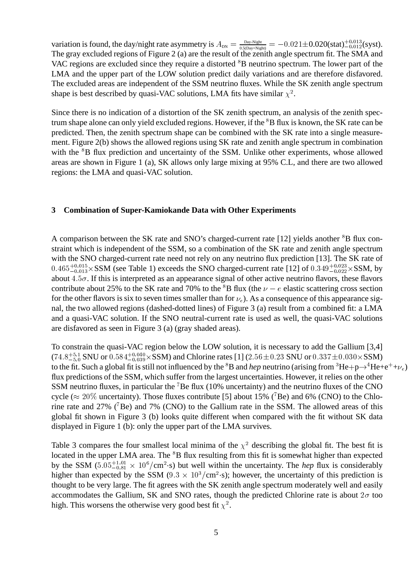variation is found, the day/night rate asymmetry is  $A_{\text{DN}} = \frac{Day-Night}{0.5(Day+Night)} = -0.021 \pm 0.020(\text{stat}) \frac{+0.013}{-0.012}(\text{syst}).$ The gray excluded regions of Figure 2 (a) are the result of the zenith angle spectrum fit. The SMA and VAC regions are excluded since they require a distorted <sup>8</sup>B neutrino spectrum. The lower part of the LMA and the upper part of the LOW solution predict daily variations and are therefore disfavored. The excluded areas are independent of the SSM neutrino fluxes. While the SK zenith angle spectrum shape is best described by quasi-VAC solutions, LMA fits have similar  $\chi^2$ .

Since there is no indication of a distortion of the SK zenith spectrum, an analysis of the zenith spectrum shape alone can only yield excluded regions. However, if the  ${}^{8}B$  flux is known, the SK rate can be predicted. Then, the zenith spectrum shape can be combined with the SK rate into a single measurement. Figure 2(b) shows the allowed regions using SK rate and zenith angle spectrum in combination with the <sup>8</sup>B flux prediction and uncertainty of the SSM. Unlike other experiments, whose allowed areas are shown in Figure 1 (a), SK allows only large mixing at 95% C.L, and there are two allowed regions: the LMA and quasi-VAC solution.

### **3 Combination of Super-Kamiokande Data with Other Experiments**

A comparison between the SK rate and SNO's charged-current rate [12] yields another <sup>8</sup>B flux constraint which is independent of the SSM, so a combination of the SK rate and zenith angle spectrum with the SNO charged-current rate need not rely on any neutrino flux prediction [13]. The SK rate of  $0.465^{+0.015}_{-0.013} \times$ SSM (see Table 1) exceeds the SNO charged-current rate [12] of  $0.349^{+0.023}_{-0.022} \times$ SSM, by about  $4.5\sigma$ . If this is interpreted as an appearance signal of other active neutrino flavors, these flavors contribute about 25% to the SK rate and 70% to the  ${}^{8}B$  flux (the  $\nu - e$  elastic scattering cross section for the other flavors is six to seven times smaller than for  $\nu_e$ ). As a consequence of this appearance signal, the two allowed regions (dashed-dotted lines) of Figure 3 (a) result from a combined fit: a LMA and a quasi-VAC solution. If the SNO neutral-current rate is used as well, the quasi-VAC solutions are disfavored as seen in Figure 3 (a) (gray shaded areas).

To constrain the quasi-VAC region below the LOW solution, it is necessary to add the Gallium [3,4]  $(74.8^{+5.1}_{-5.0}$  SNU or  $0.584^{+0.040}_{-0.039}$  × SSM) and Chlorine rates [1] (2.56  $\pm$  0.23 SNU or  $0.337\pm0.030$  × SSM) to the fit. Such a global fit is still not influenced by the  ${}^{8}B$  and *hep* neutrino (arising from  ${}^{3}He+p\rightarrow {}^{4}He+e^+ +\nu_e$ ) flux predictions of the SSM, which suffer from the largest uncertainties. However, it relies on the other SSM neutrino fluxes, in particular the <sup>7</sup>Be flux (10% uncertainty) and the neutrino fluxes of the CNO cycle ( $\approx 20\%$  uncertainty). Those fluxes contribute [5] about 15% (<sup>7</sup>Be) and 6% (CNO) to the Chlorine rate and 27% ( ${}^{7}Be$ ) and 7% (CNO) to the Gallium rate in the SSM. The allowed areas of this global fit shown in Figure 3 (b) looks quite different when compared with the fit without SK data displayed in Figure 1 (b): only the upper part of the LMA survives.

Table 3 compares the four smallest local minima of the  $\chi^2$  describing the global fit. The best fit is located in the upper LMA area. The <sup>8</sup>B flux resulting from this fit is somewhat higher than expected by the SSM  $(5.05_{-0.81}^{+1.01} \times 10^6/cm^2$  s) but well within the uncertainty. The *hep* flux is considerably higher than expected by the SSM (9.3  $\times$  10<sup>3</sup>/cm<sup>2</sup>·s); however, the uncertainty of this prediction is thought to be very large. The fit agrees with the SK zenith angle spectrum moderately well and easily accommodates the Gallium, SK and SNO rates, though the predicted Chlorine rate is about  $2\sigma$  too high. This worsens the otherwise very good best fit  $\chi^2$ .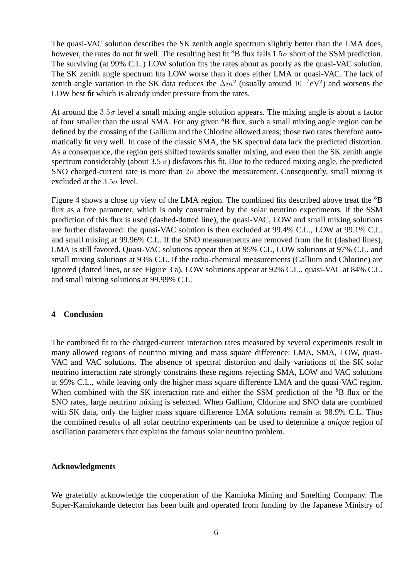The quasi-VAC solution describes the SK zenith angle spectrum slightly better than the LMA does, however, the rates do not fit well. The resulting best fit  ${}^{8}B$  flux falls  $1.5\sigma$  short of the SSM prediction. The surviving (at 99% C.L.) LOW solution fits the rates about as poorly as the quasi-VAC solution. The SK zenith angle spectrum fits LOW worse than it does either LMA or quasi-VAC. The lack of zenith angle variation in the SK data reduces the  $\Delta m^2$  (usually around  $10^{-7}$ eV<sup>2</sup>) and worsens the LOW best fit which is already under pressure from the rates.

At around the  $3.5\sigma$  level a small mixing angle solution appears. The mixing angle is about a factor of four smaller than the usual SMA. For any given <sup>8</sup>B flux, such a small mixing angle region can be defined by the crossing of the Gallium and the Chlorine allowed areas; those two rates therefore automatically fit very well. In case of the classic SMA, the SK spectral data lack the predicted distortion. As a consequence, the region gets shifted towards smaller mixing, and even then the SK zenith angle spectrum considerably (about 3.5  $\sigma$ ) disfavors this fit. Due to the reduced mixing angle, the predicted SNO charged-current rate is more than  $2\sigma$  above the measurement. Consequently, small mixing is excluded at the  $3.5\sigma$  level.

Figure 4 shows a close up view of the LMA region. The combined fits described above treat the  ${}^{8}B$ flux as a free parameter, which is only constrained by the solar neutrino experiments. If the SSM prediction of this flux is used (dashed-dotted line), the quasi-VAC, LOW and small mixing solutions are further disfavored: the quasi-VAC solution is then excluded at 99.4% C.L., LOW at 99.1% C.L. and small mixing at 99.96% C.L. If the SNO measurements are removed from the fit (dashed lines), LMA is still favored. Quasi-VAC solutions appear then at 95% C.L, LOW solutions at 97% C.L. and small mixing solutions at 93% C.L. If the radio-chemical measurements (Gallium and Chlorine) are ignored (dotted lines, or see Figure 3 a), LOW solutions appear at 92% C.L., quasi-VAC at 84% C.L. and small mixing solutions at 99.99% C.L.

### **4 Conclusion**

The combined fit to the charged-current interaction rates measured by several experiments result in many allowed regions of neutrino mixing and mass square difference: LMA, SMA, LOW, quasi-VAC and VAC solutions. The absence of spectral distortion and daily variations of the SK solar neutrino interaction rate strongly constrains these regions rejecting SMA, LOW and VAC solutions at 95% C.L., while leaving only the higher mass square difference LMA and the quasi-VAC region. When combined with the SK interaction rate and either the SSM prediction of the <sup>8</sup>B flux or the SNO rates, large neutrino mixing is selected. When Gallium, Chlorine and SNO data are combined with SK data, only the higher mass square difference LMA solutions remain at 98.9% C.L. Thus the combined results of all solar neutrino experiments can be used to determine a *unique* region of oscillation parameters that explains the famous solar neutrino problem.

#### **Acknowledgments**

We gratefully acknowledge the cooperation of the Kamioka Mining and Smelting Company. The Super-Kamiokande detector has been built and operated from funding by the Japanese Ministry of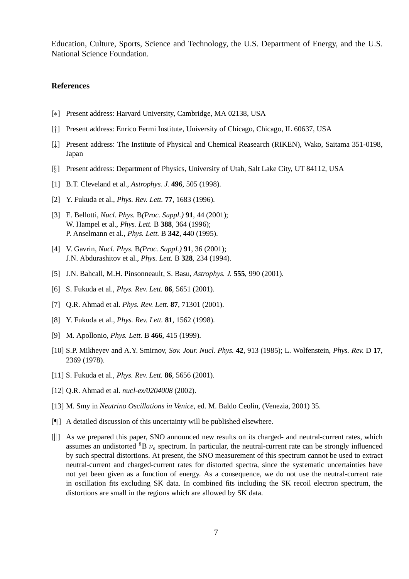Education, Culture, Sports, Science and Technology, the U.S. Department of Energy, and the U.S. National Science Foundation.

## **References**

- [\*] Present address: Harvard University, Cambridge, MA 02138, USA
- [ $\dagger$ ] Present address: Enrico Fermi Institute, University of Chicago, Chicago, IL 60637, USA
- [] Present address: The Institute of Physical and Chemical Reasearch (RIKEN), Wako, Saitama 351-0198, Japan
- [§] Present address: Department of Physics, University of Utah, Salt Lake City, UT 84112, USA
- [1] B.T. Cleveland et al., *Astrophys. J.* **496**, 505 (1998).
- [2] Y. Fukuda et al., *Phys. Rev. Lett.* **77**, 1683 (1996).
- [3] E. Bellotti, *Nucl. Phys.* B*(Proc. Suppl.)* **91**, 44 (2001); W. Hampel et al., *Phys. Lett.* B **388**, 364 (1996); P. Anselmann et al., *Phys. Lett.* B **342**, 440 (1995).
- [4] V. Gavrin, *Nucl. Phys.* B*(Proc. Suppl.)* **91**, 36 (2001); J.N. Abdurashitov et al., *Phys. Lett.* B **328**, 234 (1994).
- [5] J.N. Bahcall, M.H. Pinsonneault, S. Basu, *Astrophys. J.* **555**, 990 (2001).
- [6] S. Fukuda et al., *Phys. Rev. Lett.* **86**, 5651 (2001).
- [7] Q.R. Ahmad et al. *Phys. Rev. Lett.* **87**, 71301 (2001).
- [8] Y. Fukuda et al., *Phys. Rev. Lett.* **81**, 1562 (1998).
- [9] M. Apollonio, *Phys. Lett.* B **466**, 415 (1999).
- [10] S.P. Mikheyev and A.Y. Smirnov, *Sov. Jour. Nucl. Phys.* **42**, 913 (1985); L. Wolfenstein, *Phys. Rev.* D **17**, 2369 (1978).
- [11] S. Fukuda et al., *Phys. Rev. Lett.* **86**, 5656 (2001).
- [12] Q.R. Ahmad et al. *nucl-ex/0204008* (2002).
- [13] M. Smy in *Neutrino Oscillations in Venice*, ed. M. Baldo Ceolin, (Venezia, 2001) 35.
- [] A detailed discussion of this uncertainty will be published elsewhere.
- [ $\parallel$ ] As we prepared this paper, SNO announced new results on its charged- and neutral-current rates, which assumes an undistorted  ${}^{8}B \nu_e$  spectrum. In particular, the neutral-current rate can be strongly influenced by such spectral distortions. At present, the SNO measurement of this spectrum cannot be used to extract neutral-current and charged-current rates for distorted spectra, since the systematic uncertainties have not yet been given as a function of energy. As a consequence, we do not use the neutral-current rate in oscillation fits excluding SK data. In combined fits including the SK recoil electron spectrum, the distortions are small in the regions which are allowed by SK data.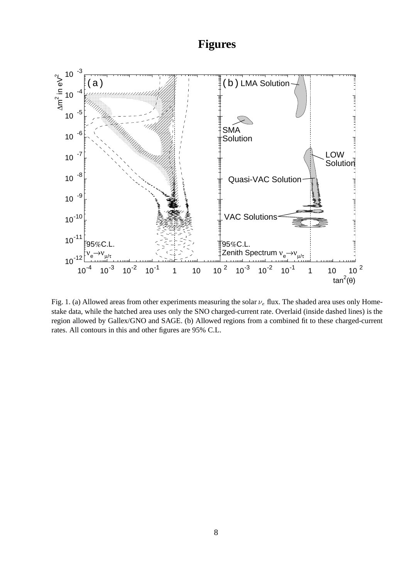# **Figures**



Fig. 1. (a) Allowed areas from other experiments measuring the solar  $\nu_e$  flux. The shaded area uses only Homestake data, while the hatched area uses only the SNO charged-current rate. Overlaid (inside dashed lines) is the region allowed by Gallex/GNO and SAGE. (b) Allowed regions from a combined fit to these charged-current rates. All contours in this and other figures are 95% C.L.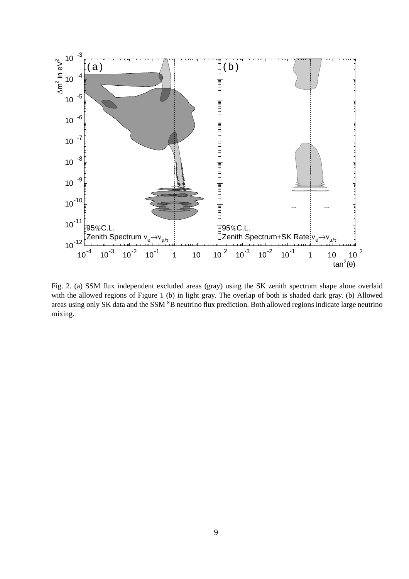

Fig. 2. (a) SSM flux independent excluded areas (gray) using the SK zenith spectrum shape alone overlaid with the allowed regions of Figure 1 (b) in light gray. The overlap of both is shaded dark gray. (b) Allowed areas using only SK data and the SSM  ${}^{8}B$  neutrino flux prediction. Both allowed regions indicate large neutrino mixing.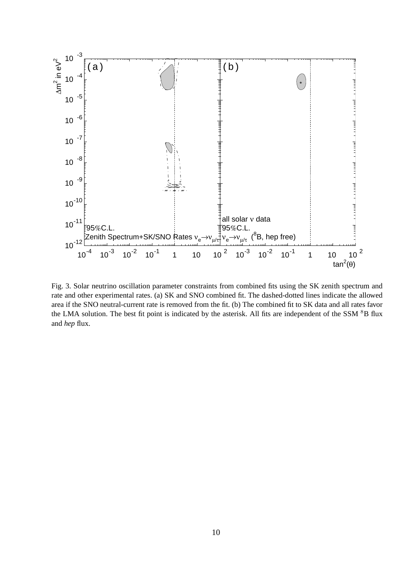

Fig. 3. Solar neutrino oscillation parameter constraints from combined fits using the SK zenith spectrum and rate and other experimental rates. (a) SK and SNO combined fit. The dashed-dotted lines indicate the allowed area if the SNO neutral-current rate is removed from the fit. (b) The combined fit to SK data and all rates favor the LMA solution. The best fit point is indicated by the asterisk. All fits are independent of the SSM <sup>8</sup>B flux and *hep* flux.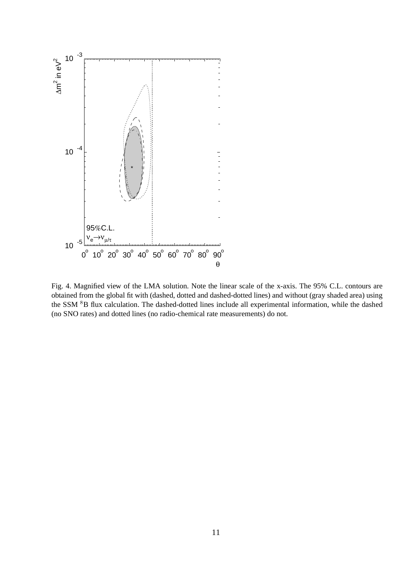

Fig. 4. Magnified view of the LMA solution. Note the linear scale of the x-axis. The 95% C.L. contours are obtained from the global fit with (dashed, dotted and dashed-dotted lines) and without (gray shaded area) using the SSM <sup>8</sup>B flux calculation. The dashed-dotted lines include all experimental information, while the dashed (no SNO rates) and dotted lines (no radio-chemical rate measurements) do not.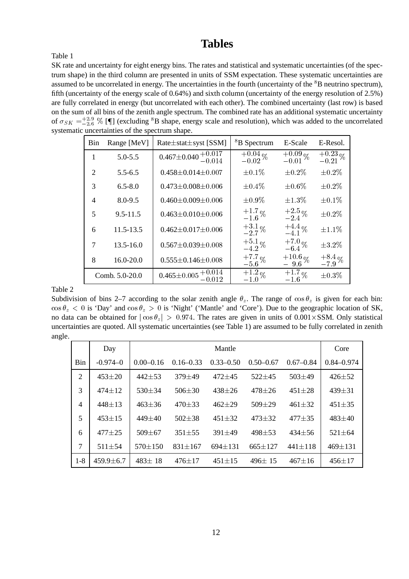## **Tables**

Table 1

SK rate and uncertainty for eight energy bins. The rates and statistical and systematic uncertainties (of the spectrum shape) in the third column are presented in units of SSM expectation. These systematic uncertainties are assumed to be uncorrelated in energy. The uncertainties in the fourth (uncertainty of the <sup>8</sup>B neutrino spectrum), fifth (uncertainty of the energy scale of 0.64%) and sixth column (uncertainty of the energy resolution of 2.5%) are fully correlated in energy (but uncorrelated with each other). The combined uncertainty (last row) is based on the sum of all bins of the zenith angle spectrum. The combined rate has an additional systematic uncertainty of  $\sigma_{SK} = ^{+2.9}_{-2.6}$  % [ $\llbracket \cdot \right|$  (excluding  ${}^8B$  shape, energy scale and resolution), which was added to the uncorrelated systematic uncertainties of the spectrum shape.

| Bin            | Range [MeV]    | $Rate \pm stat \pm syst$ [SSM]                                  | <sup>8</sup> B Spectrum | E-Scale               | E-Resol.             |
|----------------|----------------|-----------------------------------------------------------------|-------------------------|-----------------------|----------------------|
| $\mathbf{1}$   | $5.0 - 5.5$    | $0.467 \pm 0.040 \begin{array}{c} +0.017 \\ -0.014 \end{array}$ | $^{+0.04}_{-0.02}\%$    | $^{+0.09}_{-0.01}\%$  | $^{+0.23}_{-0.21}\%$ |
| 2              | $5.5 - 6.5$    | $0.458 \pm 0.014 \pm 0.007$                                     | $\pm 0.1\%$             | $\pm 0.2\%$           | $\pm 0.2\%$          |
| 3              | $6.5 - 8.0$    | $0.473 \pm 0.008 \pm 0.006$                                     | $\pm 0.4\%$             | $\pm 0.6\%$           | $\pm 0.2\%$          |
| $\overline{4}$ | 8.0-9.5        | $0.460 \pm 0.009 \pm 0.006$                                     | $\pm 0.9\%$             | $\pm 1.3\%$           | $\pm 0.1\%$          |
| 5              | $9.5 - 11.5$   | $0.463 \pm 0.010 \pm 0.006$                                     | $^{+1.7}_{-1.6}\%$      | $^{+2.5}_{-2.4}\%$    | $\pm 0.2\%$          |
| 6              | $11.5 - 13.5$  | $0.462 \pm 0.017 \pm 0.006$                                     | $^{+3.1}_{-2.7}\%$      | $^{+4.4}_{-4.1}\%$    | $\pm 1.1\%$          |
| 7              | $13.5 - 16.0$  | $0.567 \pm 0.039 \pm 0.008$                                     | $^{+5.1}_{-4.2}\%$      | $^{+7.0}_{-6.4}$ %    | $\pm 3.2\%$          |
| 8              | 16.0-20.0      | $0.555 \pm 0.146 \pm 0.008$                                     | $^{+7.7}_{-5.6}\%$      | $^{+10.6}_{-9.6}\,\%$ | $^{+8.4}_{-7.9}\%$   |
|                | Comb. 5.0-20.0 | $0.465 \pm 0.005$ <sup>+0.014</sup>                             | $^{+1.2}_{-1.0}\%$      | $^{+1.7}_{-1.6}\%$    | $\pm 0.3\%$          |

Table 2

Subdivision of bins 2–7 according to the solar zenith angle  $\theta_z$ . The range of  $\cos \theta_z$  is given for each bin:  $\cos \theta_z$  < 0 is 'Day' and  $\cos \theta_z$  > 0 is 'Night' ('Mantle' and 'Core'). Due to the geographic location of SK, no data can be obtained for  $|\cos \theta_z| > 0.974$ . The rates are given in units of  $0.001 \times$ SSM. Only statistical uncertainties are quoted. All systematic uncertainties (see Table 1) are assumed to be fully correlated in zenith angle.

|                | Day             |               |               | Mantle        |               |               | Core           |
|----------------|-----------------|---------------|---------------|---------------|---------------|---------------|----------------|
| Bin            | $-0.974 - 0$    | $0.00 - 0.16$ | $0.16 - 0.33$ | $0.33 - 0.50$ | $0.50 - 0.67$ | $0.67 - 0.84$ | $0.84 - 0.974$ |
| $\overline{2}$ | $453 + 20$      | $442 + 53$    | $379 + 49$    | $472 + 45$    | $522 + 45$    | $503 + 49$    | $426 + 52$     |
| 3              | $474 + 12$      | $530 + 34$    | $506 \pm 30$  | $438 + 26$    | $478 + 26$    | $451 + 28$    | $439 + 31$     |
| $\overline{4}$ | $448 + 13$      | $463 + 36$    | $470 + 33$    | $462 + 29$    | $509 + 29$    | $461 \pm 32$  | $451 + 35$     |
| 5              | $453 + 15$      | $449 + 40$    | $502 + 38$    | $451 + 32$    | $473 + 32$    | $477 + 35$    | $483 + 40$     |
| 6              | $477 + 25$      | $509 + 67$    | $351 + 55$    | $391 + 49$    | $498 + 53$    | $434 + 56$    | $521 \pm 64$   |
| 7              | $511 \pm 54$    | $570 \pm 150$ | $831 \pm 167$ | $694 \pm 131$ | $665 \pm 127$ | $441 \pm 118$ | $469 \pm 131$  |
| $1-8$          | $459.9 \pm 6.7$ | $483 \pm 18$  | $476 + 17$    | $451 \pm 15$  | $496 \pm 15$  | $467 + 16$    | $456 + 17$     |